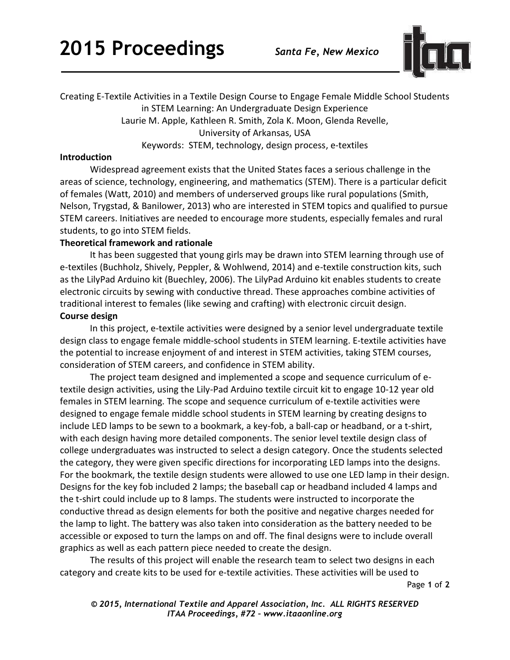

Creating E-Textile Activities in a Textile Design Course to Engage Female Middle School Students in STEM Learning: An Undergraduate Design Experience Laurie M. Apple, Kathleen R. Smith, Zola K. Moon, Glenda Revelle, University of Arkansas, USA Keywords: STEM, technology, design process, e-textiles

#### **Introduction**

Widespread agreement exists that the United States faces a serious challenge in the areas of science, technology, engineering, and mathematics (STEM). There is a particular deficit of females (Watt, 2010) and members of underserved groups like rural populations (Smith, Nelson, Trygstad, & Banilower, 2013) who are interested in STEM topics and qualified to pursue STEM careers. Initiatives are needed to encourage more students, especially females and rural students, to go into STEM fields.

### **Theoretical framework and rationale**

It has been suggested that young girls may be drawn into STEM learning through use of e-textiles (Buchholz, Shively, Peppler, & Wohlwend, 2014) and e-textile construction kits, such as the LilyPad Arduino kit (Buechley, 2006). The LilyPad Arduino kit enables students to create electronic circuits by sewing with conductive thread. These approaches combine activities of traditional interest to females (like sewing and crafting) with electronic circuit design.

# **Course design**

In this project, e-textile activities were designed by a senior level undergraduate textile design class to engage female middle-school students in STEM learning. E-textile activities have the potential to increase enjoyment of and interest in STEM activities, taking STEM courses, consideration of STEM careers, and confidence in STEM ability.

The project team designed and implemented a scope and sequence curriculum of etextile design activities, using the Lily-Pad Arduino textile circuit kit to engage 10-12 year old females in STEM learning. The scope and sequence curriculum of e-textile activities were designed to engage female middle school students in STEM learning by creating designs to include LED lamps to be sewn to a bookmark, a key-fob, a ball-cap or headband, or a t-shirt, with each design having more detailed components. The senior level textile design class of college undergraduates was instructed to select a design category. Once the students selected the category, they were given specific directions for incorporating LED lamps into the designs. For the bookmark, the textile design students were allowed to use one LED lamp in their design. Designs for the key fob included 2 lamps; the baseball cap or headband included 4 lamps and the t-shirt could include up to 8 lamps. The students were instructed to incorporate the conductive thread as design elements for both the positive and negative charges needed for the lamp to light. The battery was also taken into consideration as the battery needed to be accessible or exposed to turn the lamps on and off. The final designs were to include overall graphics as well as each pattern piece needed to create the design.

The results of this project will enable the research team to select two designs in each category and create kits to be used for e-textile activities. These activities will be used to

Page **1** of **2** 

*© 2015, International Textile and Apparel Association, Inc. ALL RIGHTS RESERVED ITAA Proceedings, #72 – www.itaaonline.org*